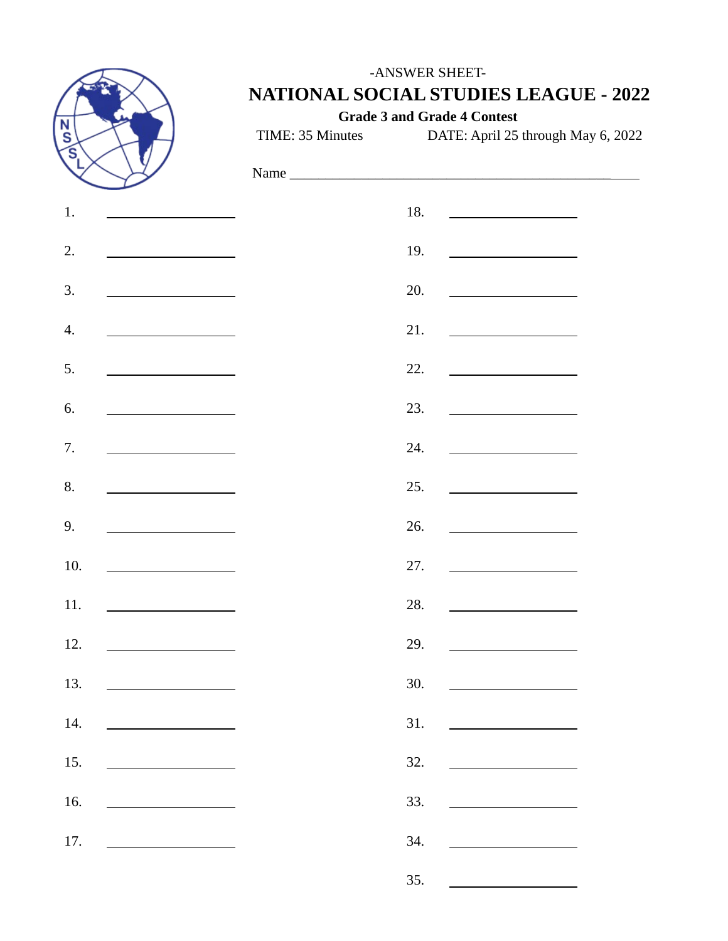

### -ANSWER SHEET-**NATIONAL SOCIAL STUDIES LEAGUE - 2022**

**Grade 3 and Grade 4 Contest**

TIME: 35 Minutes DATE: April 25 through May 6, 2022

| 1.  |                                                                                                                      | 18. | <u> 1989 - Johann Barbara, martin a</u>                 |
|-----|----------------------------------------------------------------------------------------------------------------------|-----|---------------------------------------------------------|
| 2.  | <u> 1980 - Johann Barbara, martin a</u>                                                                              | 19. |                                                         |
| 3.  | <u> 1990 - John Stein, mars and de la po</u>                                                                         | 20. | <u> 1990 - Johann Barbara, martxa a</u>                 |
| 4.  |                                                                                                                      | 21. | <u> 1980 - Johann Barbara, martxa a</u>                 |
| 5.  | and the state of the state of the state of                                                                           | 22. | <u> 1990 - Johann Barbara, martin a</u>                 |
| 6.  | <u> 1989 - Johann Barbara, martin a</u>                                                                              | 23. | <u> 1989 - Johann Barnett, fransk politiker (</u>       |
| 7.  | the company of the company of the company                                                                            | 24. |                                                         |
| 8.  |                                                                                                                      | 25. | <u> 1989 - Johann Barbara, martxa a</u>                 |
| 9.  | <u> 1980 - Jan Barbara Barbara, politik politik (</u>                                                                | 26. |                                                         |
| 10. | <u> 1989 - Johann Barbara, martin a</u>                                                                              | 27. | <u> 1989 - Johann Barbara, martin a</u>                 |
| 11. |                                                                                                                      | 28. | <u> 1990 - Johann Barbara, martxa a</u>                 |
| 12. |                                                                                                                      | 29. | <u> 1989 - Johann Barn, mars ann an t-Amhair an t-A</u> |
| 13. | <u> 1989 - Andrea Andrew Maria III, populație de la provincia de la provincia de la provincia de la provincia de</u> | 30. | <u> 1989 - Johann Barbara, martxa a</u>                 |
| 14. |                                                                                                                      | 31. |                                                         |
| 15. |                                                                                                                      | 32. |                                                         |
| 16. | the control of the control of the control of                                                                         | 33. |                                                         |
| 17. |                                                                                                                      | 34. |                                                         |
|     |                                                                                                                      | 35. |                                                         |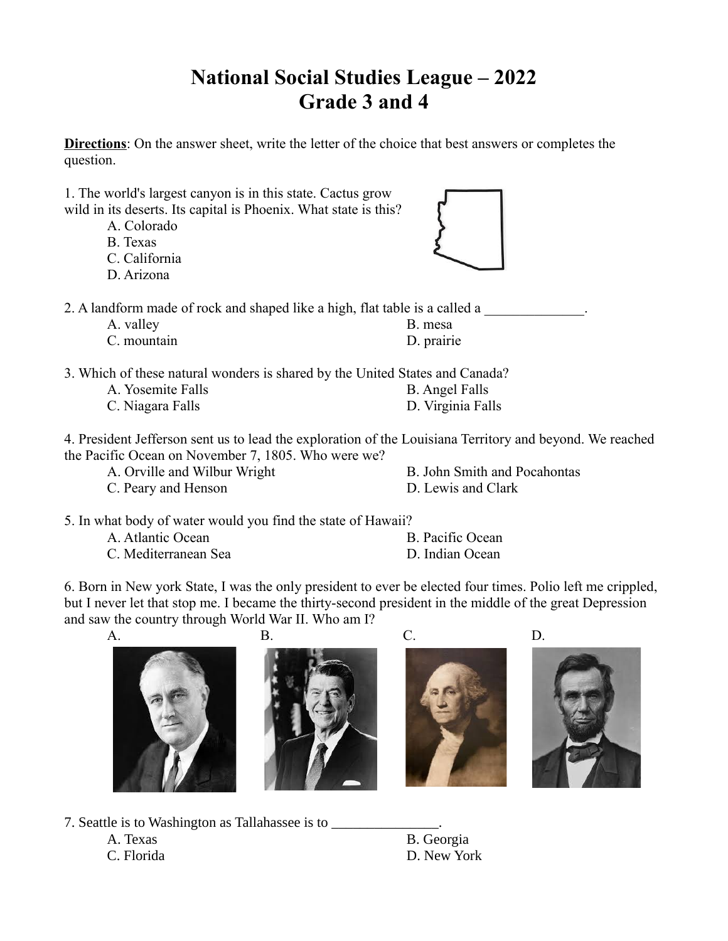## **National Social Studies League – 2022 Grade 3 and 4**

**Directions**: On the answer sheet, write the letter of the choice that best answers or completes the question.

1. The world's largest canyon is in this state. Cactus grow wild in its deserts. Its capital is Phoenix. What state is this?

- A. Colorado
- B. Texas
- C. California
- D. Arizona



2. A landform made of rock and shaped like a high, flat table is a called a

A. valley B. mesa C. mountain D. prairie

3. Which of these natural wonders is shared by the United States and Canada?

A. Yosemite Falls B. Angel Falls C. Niagara Falls D. Virginia Falls

4. President Jefferson sent us to lead the exploration of the Louisiana Territory and beyond. We reached the Pacific Ocean on November 7, 1805. Who were we?

- 
- C. Peary and Henson D. Lewis and Clark

A. Orville and Wilbur Wright B. John Smith and Pocahontas

5. In what body of water would you find the state of Hawaii?

- A. Atlantic Ocean B. Pacific Ocean
	-

C. Mediterranean Sea D. Indian Ocean

6. Born in New york State, I was the only president to ever be elected four times. Polio left me crippled, but I never let that stop me. I became the thirty-second president in the middle of the great Depression and saw the country through World War II. Who am I?









7. Seattle is to Washington as Tallahassee is to \_\_\_\_\_\_\_\_\_\_\_\_\_\_\_\_\_\_\_\_\_\_\_\_\_\_\_\_\_\_\_\_

A. Texas B. Georgia C. Florida D. New York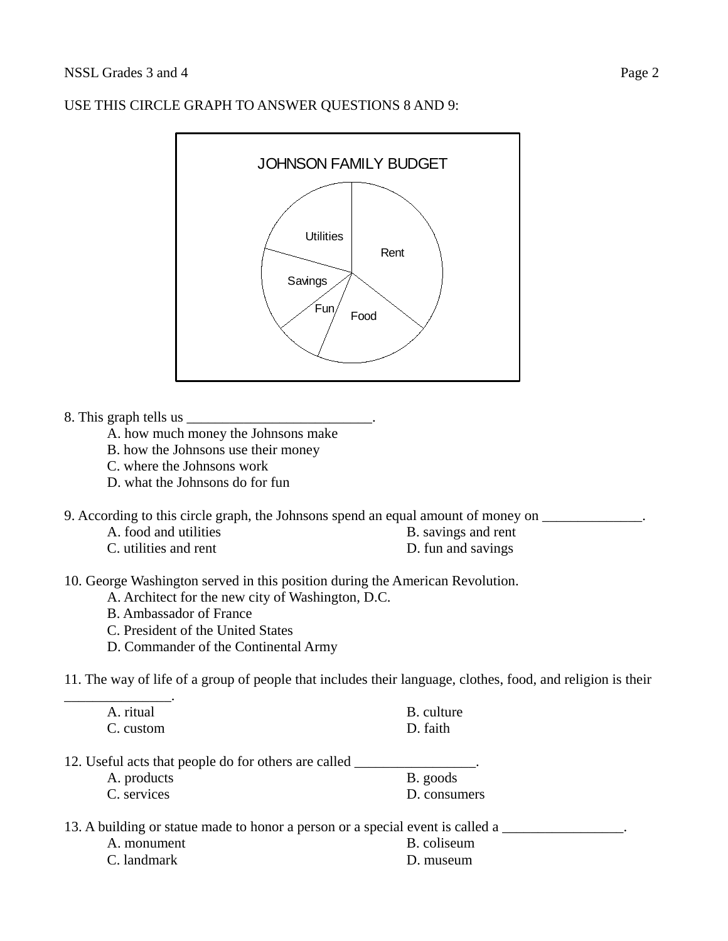# **Utilities Savings**  $Fun/$  Food Rent JOHNSON FAMILY BUDGET

#### USE THIS CIRCLE GRAPH TO ANSWER QUESTIONS 8 AND 9:

8. This graph tells us

- A. how much money the Johnsons make
- B. how the Johnsons use their money
- C. where the Johnsons work
- D. what the Johnsons do for fun
- 9. According to this circle graph, the Johnsons spend an equal amount of money on \_\_\_\_\_\_\_\_\_\_\_\_\_.
	- A. food and utilities B. savings and rent
	- C. utilities and rent D. fun and savings
- 10. George Washington served in this position during the American Revolution.
	- A. Architect for the new city of Washington, D.C.
	- B. Ambassador of France
	- C. President of the United States
	- D. Commander of the Continental Army
- 11. The way of life of a group of people that includes their language, clothes, food, and religion is their

| A. ritual | <b>B.</b> culture |
|-----------|-------------------|
| C. custom | D. faith          |

- 12. Useful acts that people do for others are called \_\_\_\_\_\_\_\_\_\_\_\_\_\_\_\_\_\_\_\_\_\_\_\_\_\_\_
	- A. products B. goods C. services D. consumers
- 13. A building or statue made to honor a person or a special event is called a
	- A. monument C. landmark

\_\_\_\_\_\_\_\_\_\_\_\_\_\_\_.

| B. coliseum |
|-------------|
| D. museum   |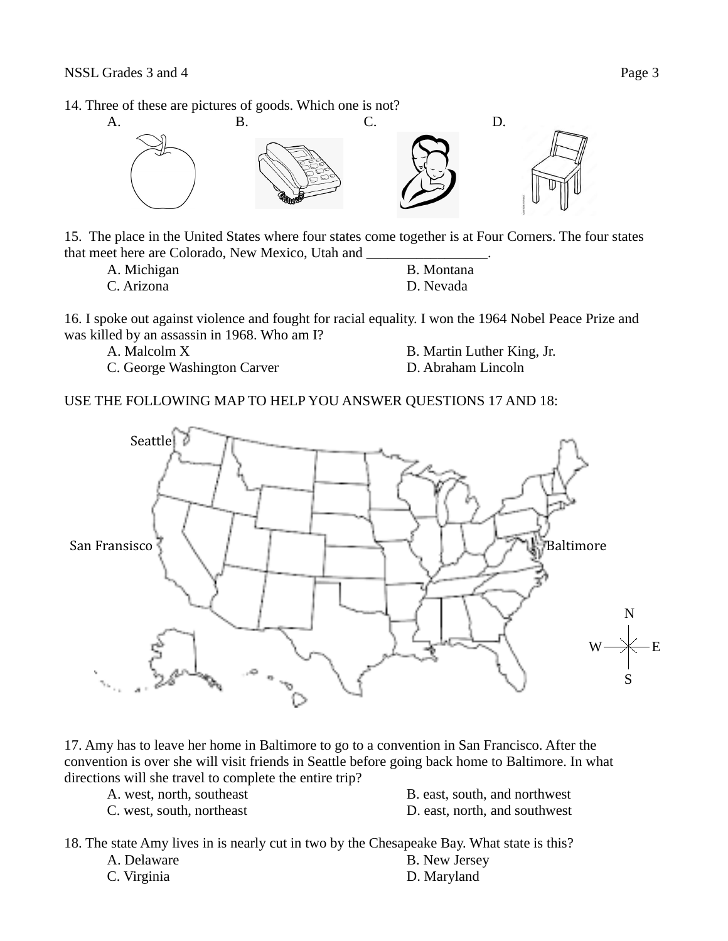#### 14. Three of these are pictures of goods. Which one is not?



15. The place in the United States where four states come together is at Four Corners. The four states that meet here are Colorado, New Mexico, Utah and \_\_\_\_\_\_\_\_\_\_\_\_\_\_\_\_\_.

| A. Michigan |  | B. Montana |
|-------------|--|------------|
| C. Arizona  |  | D. Nevada  |

16. I spoke out against violence and fought for racial equality. I won the 1964 Nobel Peace Prize and was killed by an assassin in 1968. Who am I?

C. George Washington Carver **D. Abraham Lincoln** 

A. Malcolm X B. Martin Luther King, Jr.

USE THE FOLLOWING MAP TO HELP YOU ANSWER QUESTIONS 17 AND 18:



17. Amy has to leave her home in Baltimore to go to a convention in San Francisco. After the convention is over she will visit friends in Seattle before going back home to Baltimore. In what directions will she travel to complete the entire trip?

| A. west, north, southeast | B. east, south, and northwest |
|---------------------------|-------------------------------|
| C. west, south, northeast | D. east, north, and southwest |

18. The state Amy lives in is nearly cut in two by the Chesapeake Bay. What state is this?

A. Delaware B. New Jersey C. Virginia D. Maryland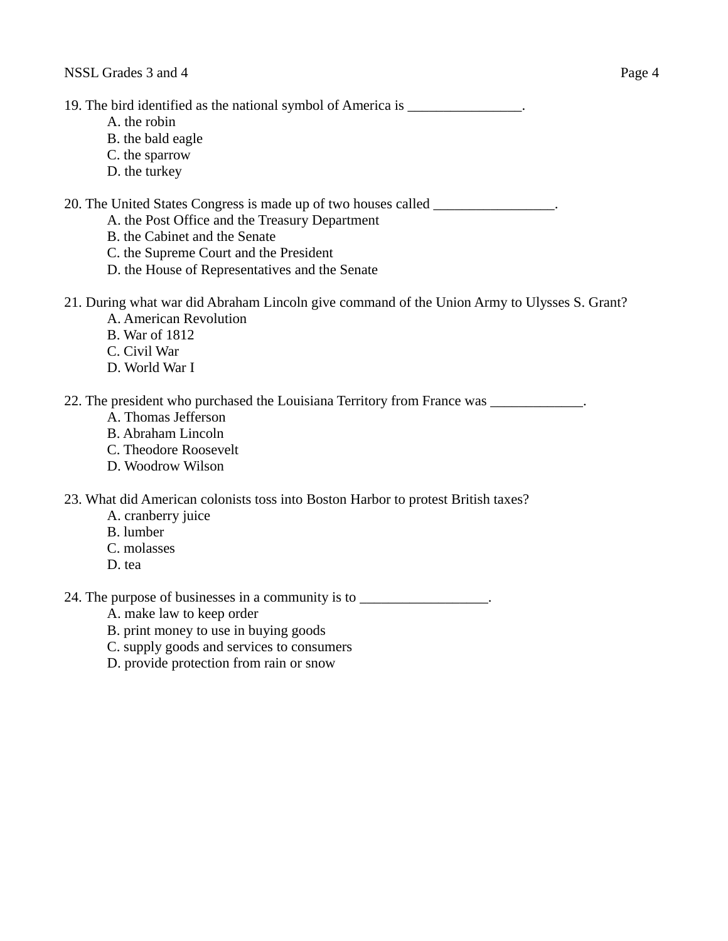19. The bird identified as the national symbol of America is \_\_\_\_\_\_\_\_\_\_\_\_\_\_\_\_.

- A. the robin
- B. the bald eagle
- C. the sparrow
- D. the turkey

20. The United States Congress is made up of two houses called \_\_\_\_\_\_\_\_\_\_\_\_\_\_\_\_\_.

- A. the Post Office and the Treasury Department
- B. the Cabinet and the Senate
- C. the Supreme Court and the President
- D. the House of Representatives and the Senate
- 21. During what war did Abraham Lincoln give command of the Union Army to Ulysses S. Grant? A. American Revolution
	- B. War of 1812
	- C. Civil War
	- D. World War I

22. The president who purchased the Louisiana Territory from France was \_\_\_\_\_\_\_\_\_\_\_\_.

- A. Thomas Jefferson
- B. Abraham Lincoln
- C. Theodore Roosevelt
- D. Woodrow Wilson

23. What did American colonists toss into Boston Harbor to protest British taxes?

- A. cranberry juice
- B. lumber
- C. molasses
- D. tea

24. The purpose of businesses in a community is to \_\_\_\_\_\_\_\_\_\_\_\_\_\_\_\_\_\_.

- A. make law to keep order
- B. print money to use in buying goods
- C. supply goods and services to consumers
- D. provide protection from rain or snow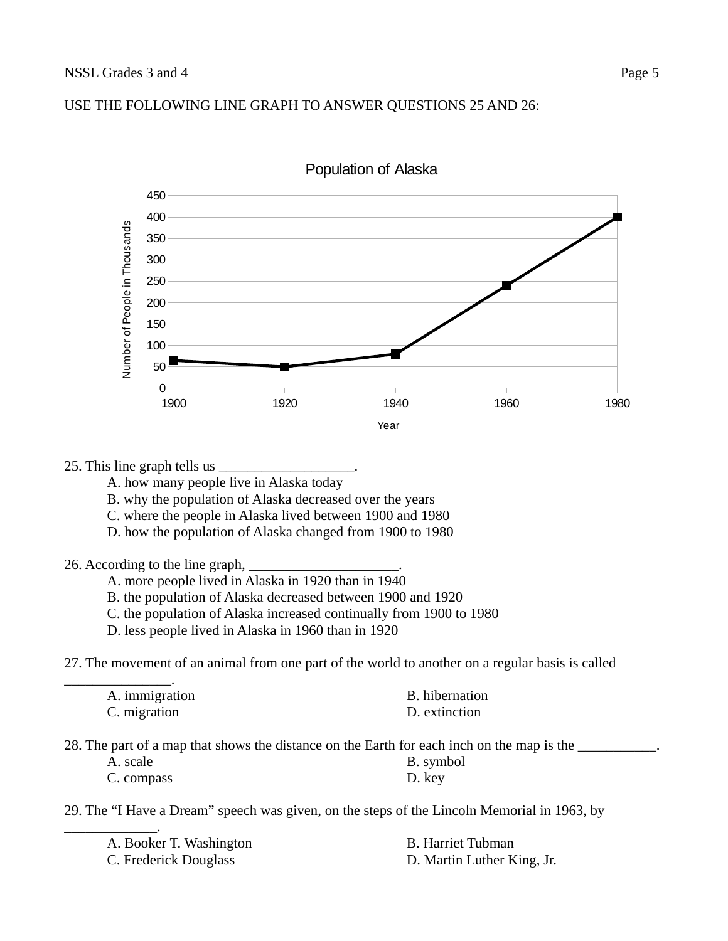#### USE THE FOLLOWING LINE GRAPH TO ANSWER QUESTIONS 25 AND 26:



Population of Alaska

#### 25. This line graph tells us  $\_$

- A. how many people live in Alaska today
- B. why the population of Alaska decreased over the years
- C. where the people in Alaska lived between 1900 and 1980
- D. how the population of Alaska changed from 1900 to 1980

#### 26. According to the line graph,

- A. more people lived in Alaska in 1920 than in 1940
- B. the population of Alaska decreased between 1900 and 1920
- C. the population of Alaska increased continually from 1900 to 1980
- D. less people lived in Alaska in 1960 than in 1920

27. The movement of an animal from one part of the world to another on a regular basis is called

| B. hibernation |
|----------------|
| D. extinction  |
|                |

28. The part of a map that shows the distance on the Earth for each inch on the map is the

A. scale B. symbol C. compass D. key

29. The "I Have a Dream" speech was given, on the steps of the Lincoln Memorial in 1963, by

| A. Booker T. Washington | B. Harriet Tubman          |
|-------------------------|----------------------------|
| C. Frederick Douglass   | D. Martin Luther King, Jr. |